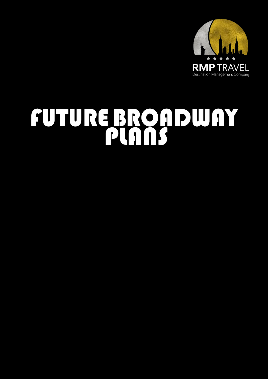

# FUTUREBROADWAY PLANS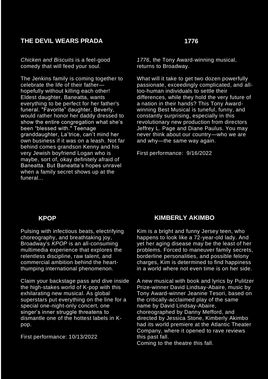## **THE DEVIL WEARS PRADA**

*Chicken and Biscuits* is a feel-good comedy that will feed your soul.

The Jenkins family is coming together to celebrate the life of their father hopefully without killing each other! Eldest daughter, Baneatta, wants everything to be perfect for her father's funeral. "Favorite" daughter, Beverly, would rather honor her daddy dressed to show the entire congregation what she's been "blessed with." Teenage granddaughter, La'trice, can't mind her own business if it was on a leash. Not far behind comes grandson Kenny and his very Jewish boyfriend Logan who is maybe, sort of, okay definitely afraid of Baneatta. But Baneatta's hopes unravel when a family secret shows up at the funeral...

#### **1776**

*1776*, the Tony Award-winning musical, returns to Broadway.

What will it take to get two dozen powerfully passionate, exceedingly complicated, and alltoo-human individuals to settle their differences, while they hold the very future of a nation in their hands? This Tony Awardwinning Best Musical is tuneful, funny, and constantly surprising, especially in this revolutionary new production from directors Jeffrey L. Page and Diane Paulus. You may never think about our country—who we are and why—the same way again.

First performance: 9/16/2022

#### **KPOP**

Pulsing with infectious beats, electrifying choreography, and breathtaking joy, Broadway's *KPOP* is an all-consuming multimedia experience that explores the relentless discipline, raw talent, and commercial ambition behind the heartthumping international phenomenon.

Claim your backstage pass and dive inside the high-stakes world of K-pop with this exhilarating new musical. As global superstars put everything on the line for a special one-night-only concert, one singer's inner struggle threatens to dismantle one of the hottest labels in Kpop.

First performance: 10/13/2022

#### **KIMBERLY AKIMBO**

Kim is a bright and funny Jersey teen, who happens to look like a 72-year-old lady. And yet her aging disease may be the least of her problems. Forced to maneuver family secrets, borderline personalities, and possible felony charges, Kim is determined to find happiness in a world where not even time is on her side.

A new musical with book and lyrics by Pulitzer Prize-winner David Lindsay-Abaire, music by Tony Award-winner Jeanine Tesori, based on the critically-acclaimed play of the same name by David Lindsay-Abaire, choreographed by Danny Mefford, and directed by Jessica Stone, Kimberly Akimbo had its world premiere at the Atlantic Theater Company, where it opened to rave reviews this past fall.

Coming to the theatre this fall.